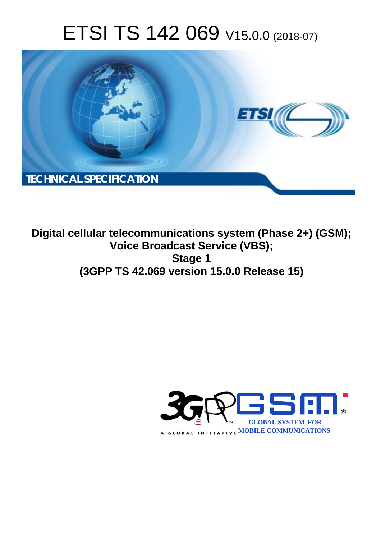# ETSI TS 142 069 V15.0.0 (2018-07)



**Digital cellular telecommunications system (Phase 2+) (GSM); Voice Broadcast Service (VBS); Stage 1 (3GPP TS 42.069 version 15.0.0 Release 15)** 

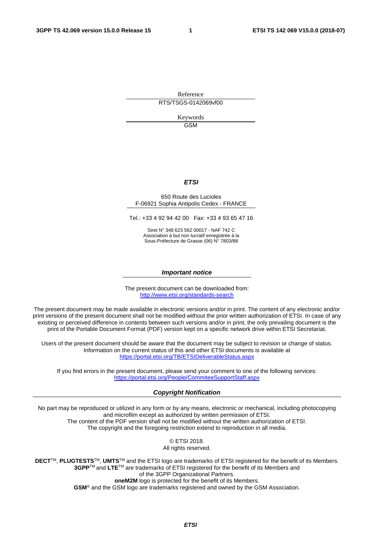Reference RTS/TSGS-0142069vf00

> Keywords GSM

#### *ETSI*

#### 650 Route des Lucioles F-06921 Sophia Antipolis Cedex - FRANCE

Tel.: +33 4 92 94 42 00 Fax: +33 4 93 65 47 16

Siret N° 348 623 562 00017 - NAF 742 C Association à but non lucratif enregistrée à la Sous-Préfecture de Grasse (06) N° 7803/88

#### *Important notice*

The present document can be downloaded from: <http://www.etsi.org/standards-search>

The present document may be made available in electronic versions and/or in print. The content of any electronic and/or print versions of the present document shall not be modified without the prior written authorization of ETSI. In case of any existing or perceived difference in contents between such versions and/or in print, the only prevailing document is the print of the Portable Document Format (PDF) version kept on a specific network drive within ETSI Secretariat.

Users of the present document should be aware that the document may be subject to revision or change of status. Information on the current status of this and other ETSI documents is available at <https://portal.etsi.org/TB/ETSIDeliverableStatus.aspx>

If you find errors in the present document, please send your comment to one of the following services: <https://portal.etsi.org/People/CommiteeSupportStaff.aspx>

#### *Copyright Notification*

No part may be reproduced or utilized in any form or by any means, electronic or mechanical, including photocopying and microfilm except as authorized by written permission of ETSI. The content of the PDF version shall not be modified without the written authorization of ETSI. The copyright and the foregoing restriction extend to reproduction in all media.

> © ETSI 2018. All rights reserved.

**DECT**TM, **PLUGTESTS**TM, **UMTS**TM and the ETSI logo are trademarks of ETSI registered for the benefit of its Members. **3GPP**TM and **LTE**TM are trademarks of ETSI registered for the benefit of its Members and of the 3GPP Organizational Partners. **oneM2M** logo is protected for the benefit of its Members.

**GSM**® and the GSM logo are trademarks registered and owned by the GSM Association.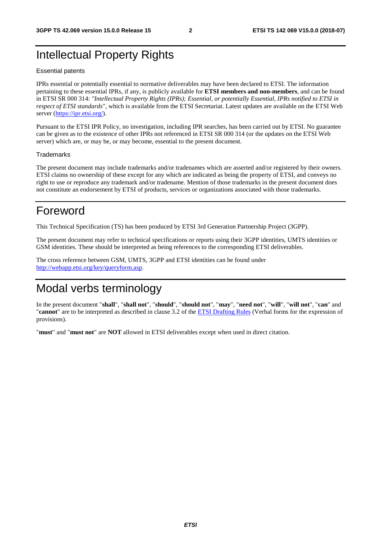#### Intellectual Property Rights

#### Essential patents

IPRs essential or potentially essential to normative deliverables may have been declared to ETSI. The information pertaining to these essential IPRs, if any, is publicly available for **ETSI members and non-members**, and can be found in ETSI SR 000 314: *"Intellectual Property Rights (IPRs); Essential, or potentially Essential, IPRs notified to ETSI in respect of ETSI standards"*, which is available from the ETSI Secretariat. Latest updates are available on the ETSI Web server ([https://ipr.etsi.org/\)](https://ipr.etsi.org/).

Pursuant to the ETSI IPR Policy, no investigation, including IPR searches, has been carried out by ETSI. No guarantee can be given as to the existence of other IPRs not referenced in ETSI SR 000 314 (or the updates on the ETSI Web server) which are, or may be, or may become, essential to the present document.

#### **Trademarks**

The present document may include trademarks and/or tradenames which are asserted and/or registered by their owners. ETSI claims no ownership of these except for any which are indicated as being the property of ETSI, and conveys no right to use or reproduce any trademark and/or tradename. Mention of those trademarks in the present document does not constitute an endorsement by ETSI of products, services or organizations associated with those trademarks.

#### Foreword

This Technical Specification (TS) has been produced by ETSI 3rd Generation Partnership Project (3GPP).

The present document may refer to technical specifications or reports using their 3GPP identities, UMTS identities or GSM identities. These should be interpreted as being references to the corresponding ETSI deliverables.

The cross reference between GSM, UMTS, 3GPP and ETSI identities can be found under [http://webapp.etsi.org/key/queryform.asp.](http://webapp.etsi.org/key/queryform.asp)

#### Modal verbs terminology

In the present document "**shall**", "**shall not**", "**should**", "**should not**", "**may**", "**need not**", "**will**", "**will not**", "**can**" and "**cannot**" are to be interpreted as described in clause 3.2 of the [ETSI Drafting Rules](https://portal.etsi.org/Services/editHelp!/Howtostart/ETSIDraftingRules.aspx) (Verbal forms for the expression of provisions).

"**must**" and "**must not**" are **NOT** allowed in ETSI deliverables except when used in direct citation.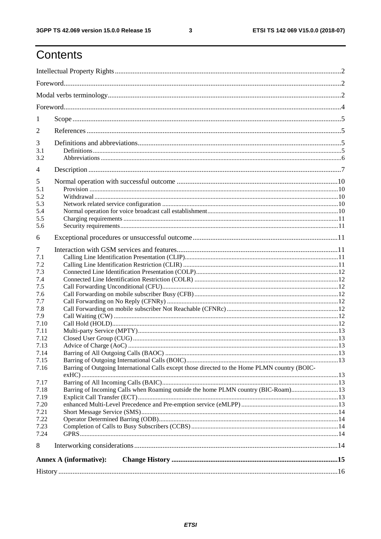$\mathbf{3}$ 

### Contents

| 1    |                                                                                               |  |  |  |  |  |  |
|------|-----------------------------------------------------------------------------------------------|--|--|--|--|--|--|
| 2    |                                                                                               |  |  |  |  |  |  |
| 3    |                                                                                               |  |  |  |  |  |  |
| 3.1  |                                                                                               |  |  |  |  |  |  |
| 3.2  |                                                                                               |  |  |  |  |  |  |
| 4    |                                                                                               |  |  |  |  |  |  |
| 5    |                                                                                               |  |  |  |  |  |  |
| 5.1  |                                                                                               |  |  |  |  |  |  |
| 5.2  |                                                                                               |  |  |  |  |  |  |
| 5.3  |                                                                                               |  |  |  |  |  |  |
| 5.4  |                                                                                               |  |  |  |  |  |  |
| 5.5  |                                                                                               |  |  |  |  |  |  |
| 5.6  |                                                                                               |  |  |  |  |  |  |
| 6    |                                                                                               |  |  |  |  |  |  |
| 7    |                                                                                               |  |  |  |  |  |  |
| 7.1  |                                                                                               |  |  |  |  |  |  |
| 7.2  |                                                                                               |  |  |  |  |  |  |
| 7.3  |                                                                                               |  |  |  |  |  |  |
| 7.4  |                                                                                               |  |  |  |  |  |  |
| 7.5  |                                                                                               |  |  |  |  |  |  |
| 7.6  |                                                                                               |  |  |  |  |  |  |
| 7.7  |                                                                                               |  |  |  |  |  |  |
| 7.8  |                                                                                               |  |  |  |  |  |  |
| 7.9  |                                                                                               |  |  |  |  |  |  |
| 7.10 |                                                                                               |  |  |  |  |  |  |
| 7.11 |                                                                                               |  |  |  |  |  |  |
| 7.12 |                                                                                               |  |  |  |  |  |  |
| 7.13 |                                                                                               |  |  |  |  |  |  |
| 7.14 |                                                                                               |  |  |  |  |  |  |
| 7.15 |                                                                                               |  |  |  |  |  |  |
| 7.16 | Barring of Outgoing International Calls except those directed to the Home PLMN country (BOIC- |  |  |  |  |  |  |
| 7.17 |                                                                                               |  |  |  |  |  |  |
| 7.18 | Barring of Incoming Calls when Roaming outside the home PLMN country (BIC-Roam)13             |  |  |  |  |  |  |
| 7.19 |                                                                                               |  |  |  |  |  |  |
| 7.20 |                                                                                               |  |  |  |  |  |  |
| 7.21 |                                                                                               |  |  |  |  |  |  |
| 7.22 |                                                                                               |  |  |  |  |  |  |
| 7.23 |                                                                                               |  |  |  |  |  |  |
| 7.24 |                                                                                               |  |  |  |  |  |  |
| 8    |                                                                                               |  |  |  |  |  |  |
|      | <b>Annex A (informative):</b>                                                                 |  |  |  |  |  |  |
|      |                                                                                               |  |  |  |  |  |  |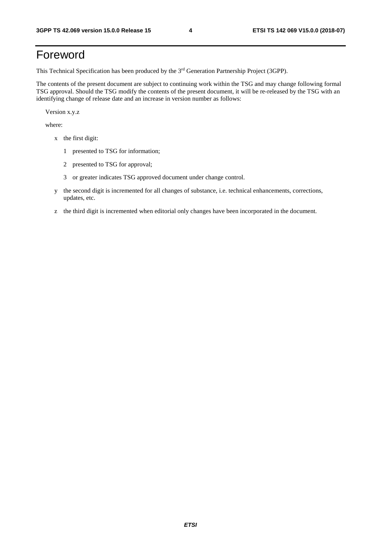#### Foreword

This Technical Specification has been produced by the 3rd Generation Partnership Project (3GPP).

The contents of the present document are subject to continuing work within the TSG and may change following formal TSG approval. Should the TSG modify the contents of the present document, it will be re-released by the TSG with an identifying change of release date and an increase in version number as follows:

Version x.y.z

where:

- x the first digit:
	- 1 presented to TSG for information;
	- 2 presented to TSG for approval;
	- 3 or greater indicates TSG approved document under change control.
- y the second digit is incremented for all changes of substance, i.e. technical enhancements, corrections, updates, etc.
- z the third digit is incremented when editorial only changes have been incorporated in the document.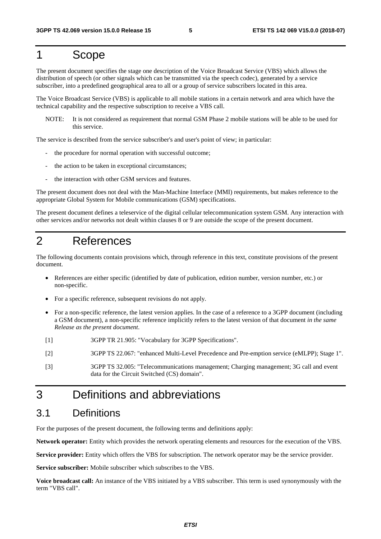#### 1 Scope

The present document specifies the stage one description of the Voice Broadcast Service (VBS) which allows the distribution of speech (or other signals which can be transmitted via the speech codec), generated by a service subscriber, into a predefined geographical area to all or a group of service subscribers located in this area.

The Voice Broadcast Service (VBS) is applicable to all mobile stations in a certain network and area which have the technical capability and the respective subscription to receive a VBS call.

NOTE: It is not considered as requirement that normal GSM Phase 2 mobile stations will be able to be used for this service.

The service is described from the service subscriber's and user's point of view; in particular:

- the procedure for normal operation with successful outcome;
- the action to be taken in exceptional circumstances;
- the interaction with other GSM services and features.

The present document does not deal with the Man-Machine Interface (MMI) requirements, but makes reference to the appropriate Global System for Mobile communications (GSM) specifications.

The present document defines a teleservice of the digital cellular telecommunication system GSM. Any interaction with other services and/or networks not dealt within clauses 8 or 9 are outside the scope of the present document.

#### 2 References

The following documents contain provisions which, through reference in this text, constitute provisions of the present document.

- References are either specific (identified by date of publication, edition number, version number, etc.) or non-specific.
- For a specific reference, subsequent revisions do not apply.
- For a non-specific reference, the latest version applies. In the case of a reference to a 3GPP document (including a GSM document), a non-specific reference implicitly refers to the latest version of that document *in the same Release as the present document*.
- [1] 3GPP TR 21.905: "Vocabulary for 3GPP Specifications".
- [2] 3GPP TS 22.067: "enhanced Multi-Level Precedence and Pre-emption service (eMLPP); Stage 1".
- [3] 3GPP TS 32.005: "Telecommunications management; Charging management; 3G call and event data for the Circuit Switched (CS) domain".

#### 3 Definitions and abbreviations

#### 3.1 Definitions

For the purposes of the present document, the following terms and definitions apply:

**Network operator:** Entity which provides the network operating elements and resources for the execution of the VBS.

**Service provider:** Entity which offers the VBS for subscription. The network operator may be the service provider.

**Service subscriber:** Mobile subscriber which subscribes to the VBS.

**Voice broadcast call:** An instance of the VBS initiated by a VBS subscriber. This term is used synonymously with the term "VBS call".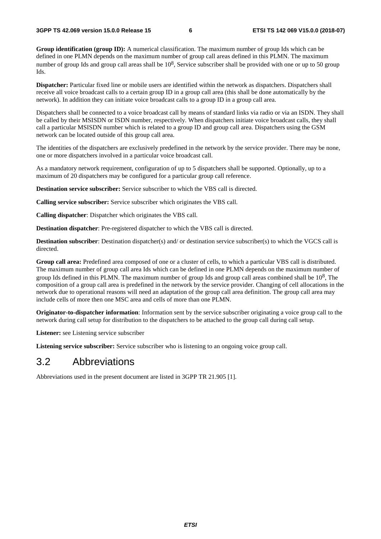**Group identification (group ID):** A numerical classification. The maximum number of group Ids which can be defined in one PLMN depends on the maximum number of group call areas defined in this PLMN. The maximum number of group Ids and group call areas shall be  $10^8$ , Service subscriber shall be provided with one or up to 50 group Ids.

**Dispatcher:** Particular fixed line or mobile users are identified within the network as dispatchers. Dispatchers shall receive all voice broadcast calls to a certain group ID in a group call area (this shall be done automatically by the network). In addition they can initiate voice broadcast calls to a group ID in a group call area.

Dispatchers shall be connected to a voice broadcast call by means of standard links via radio or via an ISDN. They shall be called by their MSISDN or ISDN number, respectively. When dispatchers initiate voice broadcast calls, they shall call a particular MSISDN number which is related to a group ID and group call area. Dispatchers using the GSM network can be located outside of this group call area.

The identities of the dispatchers are exclusively predefined in the network by the service provider. There may be none, one or more dispatchers involved in a particular voice broadcast call.

As a mandatory network requirement, configuration of up to 5 dispatchers shall be supported. Optionally, up to a maximum of 20 dispatchers may be configured for a particular group call reference.

**Destination service subscriber:** Service subscriber to which the VBS call is directed.

**Calling service subscriber:** Service subscriber which originates the VBS call.

**Calling dispatcher**: Dispatcher which originates the VBS call.

**Destination dispatcher**: Pre-registered dispatcher to which the VBS call is directed.

**Destination subscriber**: Destination dispatcher(s) and/ or destination service subscriber(s) to which the VGCS call is directed.

**Group call area:** Predefined area composed of one or a cluster of cells, to which a particular VBS call is distributed. The maximum number of group call area Ids which can be defined in one PLMN depends on the maximum number of group Ids defined in this PLMN. The maximum number of group Ids and group call areas combined shall be  $10^8$ . The composition of a group call area is predefined in the network by the service provider. Changing of cell allocations in the network due to operational reasons will need an adaptation of the group call area definition. The group call area may include cells of more then one MSC area and cells of more than one PLMN.

**Originator-to-dispatcher information**: Information sent by the service subscriber originating a voice group call to the network during call setup for distribution to the dispatchers to be attached to the group call during call setup.

**Listener:** see Listening service subscriber

**Listening service subscriber:** Service subscriber who is listening to an ongoing voice group call.

#### 3.2 Abbreviations

Abbreviations used in the present document are listed in 3GPP TR 21.905 [1].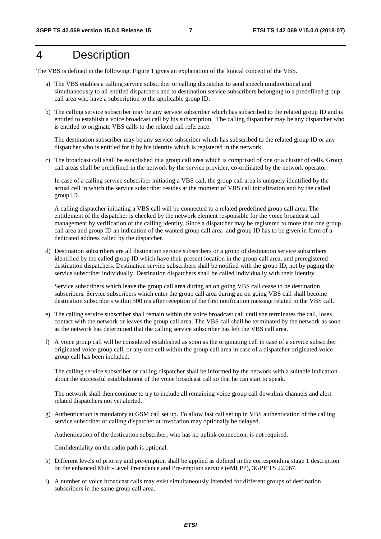#### 4 Description

The VBS is defined in the following. Figure 1 gives an explanation of the logical concept of the VBS.

- a) The VBS enables a calling service subscriber or calling dispatcher to send speech unidirectional and simultaneously to all entitled dispatchers and to destination service subscribers belonging to a predefined group call area who have a subscription to the applicable group ID.
- b) The calling service subscriber may be any service subscriber which has subscribed to the related group ID and is entitled to establish a voice broadcast call by his subscription. The calling dispatcher may be any dispatcher who is entitled to originate VBS calls to the related call reference.

 The destination subscriber may be any service subscriber which has subscribed to the related group ID or any dispatcher who is entitled for it by his identity which is registered in the network.

c) The broadcast call shall be established in a group call area which is comprised of one or a cluster of cells. Group call areas shall be predefined in the network by the service provider, co-ordinated by the network operator.

 In case of a calling service subscriber initiating a VBS call, the group call area is uniquely identified by the actual cell in which the service subscriber resides at the moment of VBS call initialization and by the called group ID.

 A calling dispatcher initiating a VBS call will be connected to a related predefined group call area. The entitlement of the dispatcher is checked by the network element responsible for the voice broadcast call management by verification of the calling identity. Since a dispatcher may be registered to more than one group call area and group ID an indication of the wanted group call area and group ID has to be given in form of a dedicated address called by the dispatcher.

d) Destination subscribers are all destination service subscribers or a group of destination service subscribers identified by the called group ID which have their present location in the group call area, and preregistered destination dispatchers. Destination service subscribers shall be notified with the group ID, not by paging the service subscriber individually. Destination dispatchers shall be called individually with their identity.

 Service subscribers which leave the group call area during an on going VBS call cease to be destination subscribers. Service subscribers which enter the group call area during an on going VBS call shall become destination subscribers within 500 ms after reception of the first notification message related to the VBS call.

- e) The calling service subscriber shall remain within the voice broadcast call until she terminates the call, loses contact with the network or leaves the group call area. The VBS call shall be terminated by the network as soon as the network has determined that the calling service subscriber has left the VBS call area.
- f) A voice group call will be considered established as soon as the originating cell in case of a service subscriber originated voice group call, or any one cell within the group call area in case of a dispatcher originated voice group call has been included.

The calling service subscriber or calling dispatcher shall be informed by the network with a suitable indication about the successful establishment of the voice broadcast call so that he can start to speak.

The network shall then continue to try to include all remaining voice group call downlink channels and alert related dispatchers not yet alerted.

g) Authentication is mandatory at GSM call set up. To allow fast call set up in VBS authentication of the calling service subscriber or calling dispatcher at invocation may optionally be delayed.

Authentication of the destination subscriber, who has no uplink connection, is not required.

Confidentiality on the radio path is optional.

- h) Different levels of priority and pre-emption shall be applied as defined in the corresponding stage 1 description on the enhanced Multi-Level Precedence and Pre-emption service (eMLPP), 3GPP TS 22.067.
- i) A number of voice broadcast calls may exist simultaneously intended for different groups of destination subscribers in the same group call area.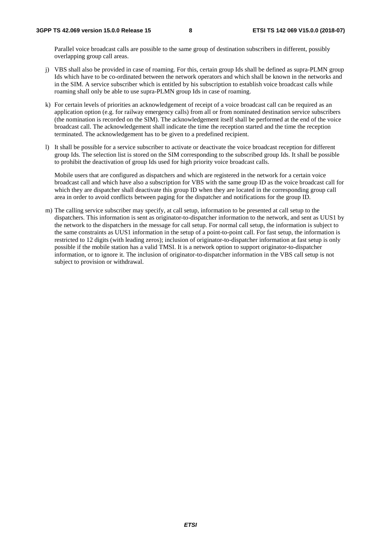Parallel voice broadcast calls are possible to the same group of destination subscribers in different, possibly overlapping group call areas.

- j) VBS shall also be provided in case of roaming. For this, certain group Ids shall be defined as supra-PLMN group Ids which have to be co-ordinated between the network operators and which shall be known in the networks and in the SIM. A service subscriber which is entitled by his subscription to establish voice broadcast calls while roaming shall only be able to use supra-PLMN group Ids in case of roaming.
- k) For certain levels of priorities an acknowledgement of receipt of a voice broadcast call can be required as an application option (e.g. for railway emergency calls) from all or from nominated destination service subscribers (the nomination is recorded on the SIM). The acknowledgement itself shall be performed at the end of the voice broadcast call. The acknowledgement shall indicate the time the reception started and the time the reception terminated. The acknowledgement has to be given to a predefined recipient.
- l) It shall be possible for a service subscriber to activate or deactivate the voice broadcast reception for different group Ids. The selection list is stored on the SIM corresponding to the subscribed group Ids. It shall be possible to prohibit the deactivation of group Ids used for high priority voice broadcast calls.

 Mobile users that are configured as dispatchers and which are registered in the network for a certain voice broadcast call and which have also a subscription for VBS with the same group ID as the voice broadcast call for which they are dispatcher shall deactivate this group ID when they are located in the corresponding group call area in order to avoid conflicts between paging for the dispatcher and notifications for the group ID.

m) The calling service subscriber may specify, at call setup, information to be presented at call setup to the dispatchers. This information is sent as originator-to-dispatcher information to the network, and sent as UUS1 by the network to the dispatchers in the message for call setup. For normal call setup, the information is subject to the same constraints as UUS1 information in the setup of a point-to-point call. For fast setup, the information is restricted to 12 digits (with leading zeros); inclusion of originator-to-dispatcher information at fast setup is only possible if the mobile station has a valid TMSI. It is a network option to support originator-to-dispatcher information, or to ignore it. The inclusion of originator-to-dispatcher information in the VBS call setup is not subject to provision or withdrawal.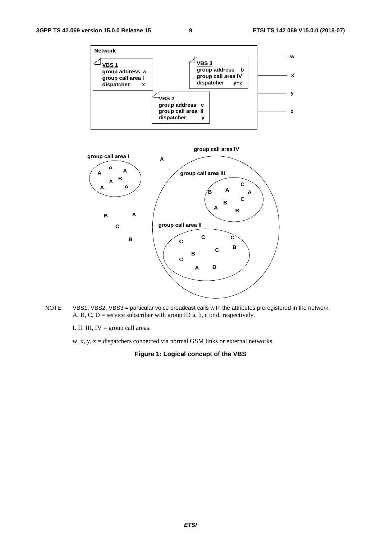

NOTE: VBS1, VBS2, VBS3 = particular voice broadcast calls with the attributes preregistered in the network. A, B, C,  $D$  = service subscriber with group ID a, b, c or d, respectively.

I. II, III,  $IV = group$  call areas.

w, x, y,  $z =$  dispatchers connected via normal GSM links or external networks.

**Figure 1: Logical concept of the VBS**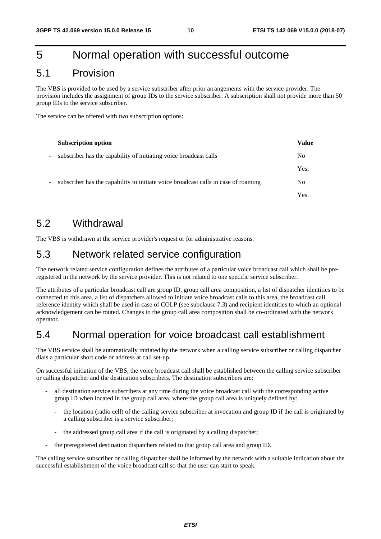#### 5 Normal operation with successful outcome

#### 5.1 Provision

The VBS is provided to be used by a service subscriber after prior arrangements with the service provider. The provision includes the assignment of group IDs to the service subscriber. A subscription shall not provide more than 50 group IDs to the service subscriber.

The service can be offered with two subscription options:

|                          | <b>Subscription option</b>                                                         | <b>Value</b>   |
|--------------------------|------------------------------------------------------------------------------------|----------------|
| $\overline{\phantom{a}}$ | subscriber has the capability of initiating voice broadcast calls                  | N <sub>0</sub> |
|                          |                                                                                    | Yes:           |
| -                        | subscriber has the capability to initiate voice broadcast calls in case of roaming | N <sub>0</sub> |
|                          |                                                                                    | Yes.           |

#### 5.2 Withdrawal

The VBS is withdrawn at the service provider's request or for administrative reasons.

#### 5.3 Network related service configuration

The network related service configuration defines the attributes of a particular voice broadcast call which shall be preregistered in the network by the service provider. This is not related to one specific service subscriber.

The attributes of a particular broadcast call are group ID, group call area composition, a list of dispatcher identities to be connected to this area, a list of dispatchers allowed to initiate voice broadcast calls to this area, the broadcast call reference identity which shall be used in case of COLP (see subclause 7.3) and recipient identities to which an optional acknowledgement can be routed. Changes to the group call area composition shall be co-ordinated with the network operator.

#### 5.4 Normal operation for voice broadcast call establishment

The VBS service shall be automatically initiated by the network when a calling service subscriber or calling dispatcher dials a particular short code or address at call set-up.

On successful initiation of the VBS, the voice broadcast call shall be established between the calling service subscriber or calling dispatcher and the destination subscribers. The destination subscribers are:

- all destination service subscribers at any time during the voice broadcast call with the corresponding active group ID when located in the group call area, where the group call area is uniquely defined by:
	- the location (radio cell) of the calling service subscriber at invocation and group ID if the call is originated by a calling subscriber is a service subscriber;
	- the addressed group call area if the call is originated by a calling dispatcher;
	- the preregistered destination dispatchers related to that group call area and group ID.

The calling service subscriber or calling dispatcher shall be informed by the network with a suitable indication about the successful establishment of the voice broadcast call so that the user can start to speak.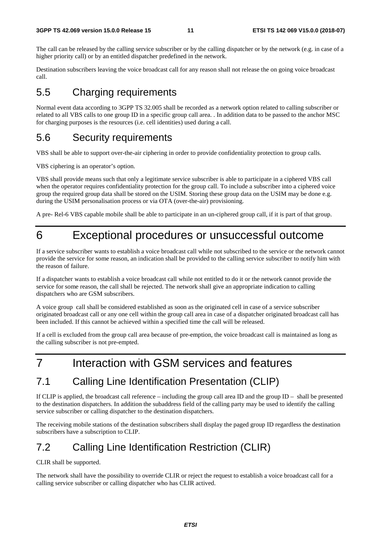The call can be released by the calling service subscriber or by the calling dispatcher or by the network (e.g. in case of a higher priority call) or by an entitled dispatcher predefined in the network.

Destination subscribers leaving the voice broadcast call for any reason shall not release the on going voice broadcast call.

#### 5.5 Charging requirements

Normal event data according to 3GPP TS 32.005 shall be recorded as a network option related to calling subscriber or related to all VBS calls to one group ID in a specific group call area. . In addition data to be passed to the anchor MSC for charging purposes is the resources (i.e. cell identities) used during a call.

#### 5.6 Security requirements

VBS shall be able to support over-the-air ciphering in order to provide confidentiality protection to group calls.

VBS ciphering is an operator's option.

VBS shall provide means such that only a legitimate service subscriber is able to participate in a ciphered VBS call when the operator requires confidentiality protection for the group call. To include a subscriber into a ciphered voice group the required group data shall be stored on the USIM. Storing these group data on the USIM may be done e.g. during the USIM personalisation process or via OTA (over-the-air) provisioning.

A pre- Rel-6 VBS capable mobile shall be able to participate in an un-ciphered group call, if it is part of that group.

#### 6 Exceptional procedures or unsuccessful outcome

If a service subscriber wants to establish a voice broadcast call while not subscribed to the service or the network cannot provide the service for some reason, an indication shall be provided to the calling service subscriber to notify him with the reason of failure.

If a dispatcher wants to establish a voice broadcast call while not entitled to do it or the network cannot provide the service for some reason, the call shall be rejected. The network shall give an appropriate indication to calling dispatchers who are GSM subscribers.

A voice group call shall be considered established as soon as the originated cell in case of a service subscriber originated broadcast call or any one cell within the group call area in case of a dispatcher originated broadcast call has been included. If this cannot be achieved within a specified time the call will be released.

If a cell is excluded from the group call area because of pre-emption, the voice broadcast call is maintained as long as the calling subscriber is not pre-empted.

#### 7 Interaction with GSM services and features

#### 7.1 Calling Line Identification Presentation (CLIP)

If CLIP is applied, the broadcast call reference – including the group call area ID and the group  $ID -$  shall be presented to the destination dispatchers. In addition the subaddress field of the calling party may be used to identify the calling service subscriber or calling dispatcher to the destination dispatchers.

The receiving mobile stations of the destination subscribers shall display the paged group ID regardless the destination subscribers have a subscription to CLIP.

#### 7.2 Calling Line Identification Restriction (CLIR)

CLIR shall be supported.

The network shall have the possibility to override CLIR or reject the request to establish a voice broadcast call for a calling service subscriber or calling dispatcher who has CLIR actived.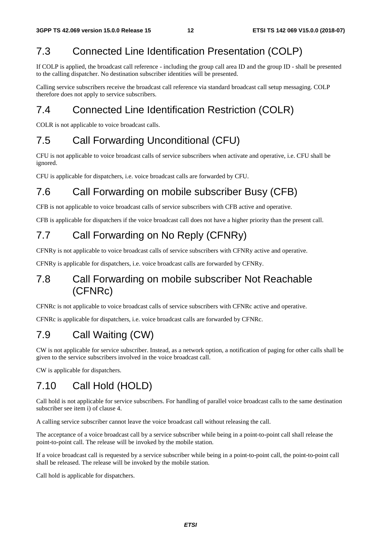#### 7.3 Connected Line Identification Presentation (COLP)

If COLP is applied, the broadcast call reference - including the group call area ID and the group ID - shall be presented to the calling dispatcher. No destination subscriber identities will be presented.

Calling service subscribers receive the broadcast call reference via standard broadcast call setup messaging. COLP therefore does not apply to service subscribers.

#### 7.4 Connected Line Identification Restriction (COLR)

COLR is not applicable to voice broadcast calls.

#### 7.5 Call Forwarding Unconditional (CFU)

CFU is not applicable to voice broadcast calls of service subscribers when activate and operative, i.e. CFU shall be ignored.

CFU is applicable for dispatchers, i.e. voice broadcast calls are forwarded by CFU.

#### 7.6 Call Forwarding on mobile subscriber Busy (CFB)

CFB is not applicable to voice broadcast calls of service subscribers with CFB active and operative.

CFB is applicable for dispatchers if the voice broadcast call does not have a higher priority than the present call.

#### 7.7 Call Forwarding on No Reply (CFNRy)

CFNRy is not applicable to voice broadcast calls of service subscribers with CFNRy active and operative.

CFNRy is applicable for dispatchers, i.e. voice broadcast calls are forwarded by CFNRy.

#### 7.8 Call Forwarding on mobile subscriber Not Reachable (CFNRc)

CFNRc is not applicable to voice broadcast calls of service subscribers with CFNRc active and operative.

CFNRc is applicable for dispatchers, i.e. voice broadcast calls are forwarded by CFNRc.

#### 7.9 Call Waiting (CW)

CW is not applicable for service subscriber. Instead, as a network option, a notification of paging for other calls shall be given to the service subscribers involved in the voice broadcast call.

CW is applicable for dispatchers.

#### 7.10 Call Hold (HOLD)

Call hold is not applicable for service subscribers. For handling of parallel voice broadcast calls to the same destination subscriber see item i) of clause 4.

A calling service subscriber cannot leave the voice broadcast call without releasing the call.

The acceptance of a voice broadcast call by a service subscriber while being in a point-to-point call shall release the point-to-point call. The release will be invoked by the mobile station.

If a voice broadcast call is requested by a service subscriber while being in a point-to-point call, the point-to-point call shall be released. The release will be invoked by the mobile station.

Call hold is applicable for dispatchers.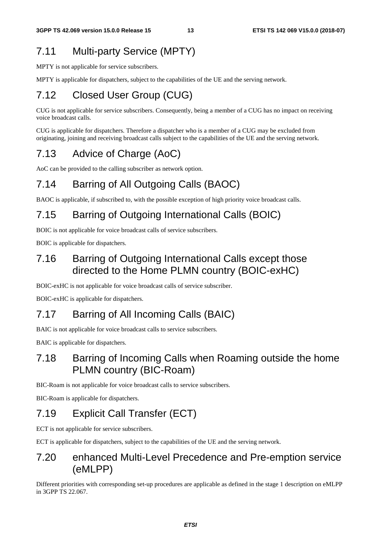#### 7.11 Multi-party Service (MPTY)

MPTY is not applicable for service subscribers.

MPTY is applicable for dispatchers, subject to the capabilities of the UE and the serving network.

#### 7.12 Closed User Group (CUG)

CUG is not applicable for service subscribers. Consequently, being a member of a CUG has no impact on receiving voice broadcast calls.

CUG is applicable for dispatchers. Therefore a dispatcher who is a member of a CUG may be excluded from originating, joining and receiving broadcast calls subject to the capabilities of the UE and the serving network.

#### 7.13 Advice of Charge (AoC)

AoC can be provided to the calling subscriber as network option.

#### 7.14 Barring of All Outgoing Calls (BAOC)

BAOC is applicable, if subscribed to, with the possible exception of high priority voice broadcast calls.

#### 7.15 Barring of Outgoing International Calls (BOIC)

BOIC is not applicable for voice broadcast calls of service subscribers.

BOIC is applicable for dispatchers.

#### 7.16 Barring of Outgoing International Calls except those directed to the Home PLMN country (BOIC-exHC)

BOIC-exHC is not applicable for voice broadcast calls of service subscriber.

BOIC-exHC is applicable for dispatchers.

#### 7.17 Barring of All Incoming Calls (BAIC)

BAIC is not applicable for voice broadcast calls to service subscribers.

BAIC is applicable for dispatchers.

#### 7.18 Barring of Incoming Calls when Roaming outside the home PLMN country (BIC-Roam)

BIC-Roam is not applicable for voice broadcast calls to service subscribers.

BIC-Roam is applicable for dispatchers.

#### 7.19 Explicit Call Transfer (ECT)

ECT is not applicable for service subscribers.

ECT is applicable for dispatchers, subject to the capabilities of the UE and the serving network.

#### 7.20 enhanced Multi-Level Precedence and Pre-emption service (eMLPP)

Different priorities with corresponding set-up procedures are applicable as defined in the stage 1 description on eMLPP in 3GPP TS 22.067.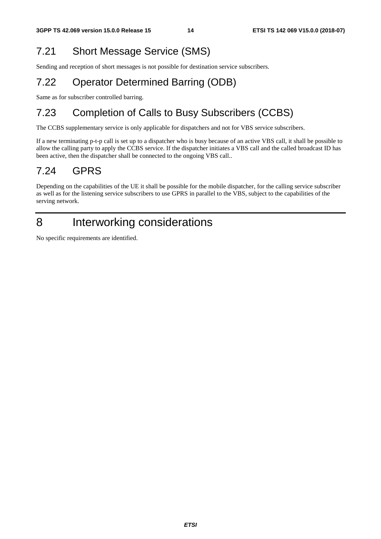### 7.21 Short Message Service (SMS)

Sending and reception of short messages is not possible for destination service subscribers.

### 7.22 Operator Determined Barring (ODB)

Same as for subscriber controlled barring.

### 7.23 Completion of Calls to Busy Subscribers (CCBS)

The CCBS supplementary service is only applicable for dispatchers and not for VBS service subscribers.

If a new terminating p-t-p call is set up to a dispatcher who is busy because of an active VBS call, it shall be possible to allow the calling party to apply the CCBS service. If the dispatcher initiates a VBS call and the called broadcast ID has been active, then the dispatcher shall be connected to the ongoing VBS call..

### 7.24 GPRS

Depending on the capabilities of the UE it shall be possible for the mobile dispatcher, for the calling service subscriber as well as for the listening service subscribers to use GPRS in parallel to the VBS, subject to the capabilities of the serving network.

### 8 Interworking considerations

No specific requirements are identified.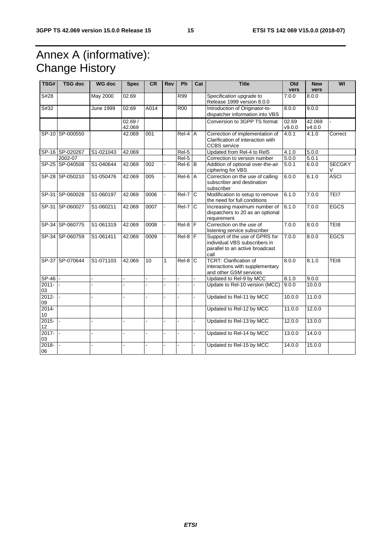### Annex A (informative): Change History

| TSG#           | <b>TSG doc</b>  | <b>WG doc</b>          | <b>Spec</b>      | CR              | <b>Rev</b>     | Ph                | Cat                     | <b>Title</b>                                                                                               | Old<br>vers     | <b>New</b><br>vers | WI                 |
|----------------|-----------------|------------------------|------------------|-----------------|----------------|-------------------|-------------------------|------------------------------------------------------------------------------------------------------------|-----------------|--------------------|--------------------|
| S#28           |                 | May 2000               | 02.69            |                 |                | R99               |                         | Specification upgrade to<br>Release 1999 version 8.0.0                                                     | 7.0.0           | 8.0.0              |                    |
| S#32           |                 | June 1999              | 02.69            | A014            |                | R00               |                         | Introduction of Originator-to-<br>dispatcher information into VBS                                          | 8.0.0           | 9.0.0              |                    |
|                |                 |                        | 02.69/<br>42.069 |                 |                |                   |                         | Conversion to 3GPP TS format                                                                               | 02.69<br>V9.0.0 | 42.069<br>V4.0.0   |                    |
|                | SP-10 SP-000550 |                        | 42.069           | 001             |                | Rel-4 A           |                         | Correction of implementation of<br>Clarification of interaction with<br><b>CCBS</b> service                | 4.0.1           | 4.1.0              | Correct            |
|                | SP-16 SP-020267 | S1-021043              | 42.069           |                 |                | $\overline{Rel5}$ |                         | Updated from Rel-4 to Rel5                                                                                 | 4.1.0           | 5.0.0              |                    |
|                | 2002-07         |                        |                  |                 |                | $ReI-5$           |                         | Correction to version number                                                                               | 5.0.0           | 5.0.1              |                    |
|                | SP-25 SP-040508 | S1-040644              | 42.069           | 002             |                | $Rel-6$ $B$       |                         | Addition of optional over-the-air<br>ciphering for VBS                                                     | 5.0.1           | 6.0.0              | <b>SECGKY</b><br>V |
|                | SP-28 SP-050210 | S1-050476              | 42.069           | 005             |                | $Rel-6$           | $\overline{A}$          | Correction on the use of calling<br>subscriber and destination<br>subscriber                               | 6.0.0           | 6.1.0              | <b>ASCI</b>        |
|                | SP-31 SP-060028 | S1-060197              | 42.069           | 0006            |                | $ReI-7$           | $\overline{\mathsf{C}}$ | Modification to setup to remove<br>the need for full conditions                                            | 6.1.0           | 7.0.0              | TEI7               |
| SP-31          | SP-060027       | $\overline{S1-0602}11$ | 42.069           | 0007            | $\blacksquare$ | Rel-7             | <sub>C</sub>            | Increasing maximum number of<br>dispatchers to 20 as an optional<br>requirement                            | 6.1.0           | 7.0.0              | <b>EGCS</b>        |
|                | SP-34 SP-060775 | S1-061319              | 42.069           | 0008            | ÷.             | $Rel-8$           | ΙF                      | Correction on the use of<br>listening service subscriber                                                   | 7.0.0           | 8.0.0              | TEI8               |
|                | SP-34 SP-060759 | S1-061411              | 42.069           | 0009            |                | $Rel-8$ $F$       |                         | Support of the use of GPRS for<br>individual VBS subscribers in<br>parallel to an active broadcast<br>call | 7.0.0           | 8.0.0              | <b>EGCS</b>        |
|                | SP-37 SP-070644 | S1-071103              | 42.069           | $\overline{10}$ | 1              | $Rel-8$           | C                       | <b>TCRT: Clarification of</b><br>interactions with supplementary<br>and other GSM services                 | 8.0.0           | 8.1.0              | TE <sub>18</sub>   |
| $SP-46$ -      |                 |                        |                  |                 |                |                   |                         | Updated to Rel-9 by MCC                                                                                    | 8.1.0           | 9.0.0              |                    |
| $2011 -$<br>03 |                 |                        |                  |                 |                |                   |                         | Update to Rel-10 version (MCC)                                                                             | 9.0.0           | 10.0.0             |                    |
| $2012 -$<br>09 |                 |                        |                  |                 |                |                   |                         | Updated to Rel-11 by MCC                                                                                   | 10.0.0          | 11.0.0             |                    |
| $2014 -$<br>10 |                 |                        |                  |                 |                |                   |                         | Updated to Rel-12 by MCC                                                                                   | 11.0.0          | 12.0.0             |                    |
| $2015 -$<br>12 |                 |                        |                  |                 |                |                   |                         | Updated to Rel-13 by MCC                                                                                   | 12.0.0          | 13.0.0             |                    |
| $2017 -$<br>03 | $\mathbf{r}$    |                        |                  |                 |                |                   |                         | Updated to Rel-14 by MCC                                                                                   | 13.0.0          | 14.0.0             |                    |
| $2018 -$<br>06 |                 |                        |                  |                 |                |                   |                         | Updated to Rel-15 by MCC                                                                                   | 14.0.0          | 15.0.0             |                    |